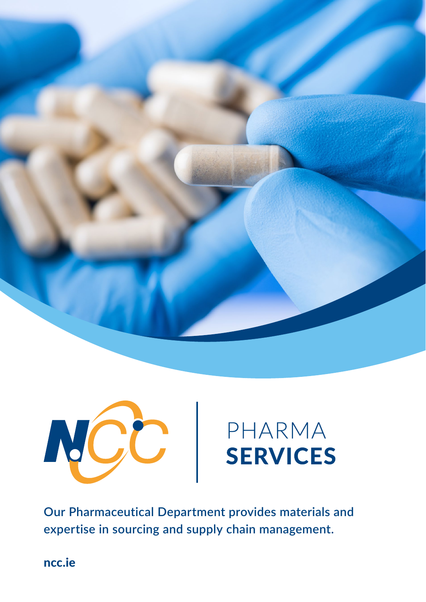



**Our Pharmaceutical Department provides materials and expertise in sourcing and supply chain management.**

[ncc.ie](https://www.ncc.ie/)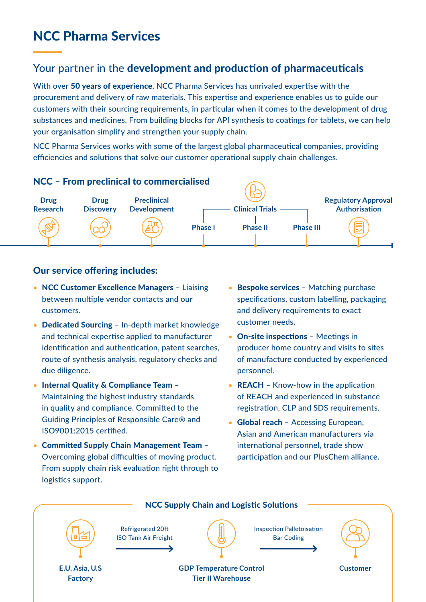## NCC Pharma Services

## Your partner in the development and production of pharmaceuticals

With over 50 years of experience, NCC Pharma Services has unrivaled expertise with the procurement and delivery of raw materials. This expertise and experience enables us to guide our customers with their sourcing requirements, in particular when it comes to the development of drug substances and medicines. From building blocks for API synthesis to coatings for tablets, we can help your organisation simplify and strengthen your supply chain.

NCC Pharma Services works with some of the largest global pharmaceutical companies, providing efficiencies and solutions that solve our customer operational supply chain challenges.



### Our service offering includes:

- NCC Customer Excellence Managers Liaising between multiple vendor contacts and our customers.
- Dedicated Sourcing In-depth market knowledge and technical expertise applied to manufacturer identification and authentication, patent searches, route of synthesis analysis, regulatory checks and due diligence.
- Internal Quality & Compliance Team Maintaining the highest industry standards in quality and compliance. Committed to the Guiding Principles of Responsible Care® and ISO9001:2015 certified.
- Committed Supply Chain Management Team Overcoming global difficulties of moving product. From supply chain risk evaluation right through to logistics support.
- Bespoke services Matching purchase specifications, custom labelling, packaging and delivery requirements to exact customer needs.
- On-site inspections Meetings in producer home country and visits to sites of manufacture conducted by experienced personnel.
- **REACH** Know-how in the application of REACH and experienced in substance registration, CLP and SDS requirements.
- Global reach Accessing European, Asian and American manufacturers via international personnel, trade show participation and our PlusChem alliance.

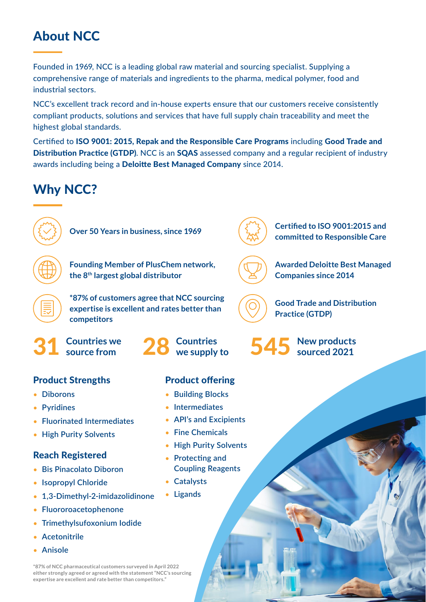## About NCC

Founded in 1969, NCC is a leading global raw material and sourcing specialist. Supplying a comprehensive range of materials and ingredients to the pharma, medical polymer, food and industrial sectors.

NCC's excellent track record and in-house experts ensure that our customers receive consistently compliant products, solutions and services that have full supply chain traceability and meet the highest global standards.

Certified to ISO 9001: 2015, Repak and the Responsible Care Programs including Good Trade and Distribution Practice (GTDP). NCC is an SQAS assessed company and a regular recipient of industry awards including being a Deloitte Best Managed Company since 2014.

## Why NCC?





**Founding Member of PlusChem network, the 8th largest global distributor**

**\*87% of customers agree that NCC sourcing expertise is excellent and rates better than competitors**



**Countries we** source from

## **Product Strengths Product offering**

- **Diborons**
- **Pyridines**
- **Fluorinated Intermediates**
- **High Purity Solvents**

### Reach Registered

- **Bis Pinacolato Diboron**
- **Isopropyl Chloride**
- **1,3-Dimethyl-2-imidazolidinone**
- **Fluororoacetophenone**
- **Trimethylsufoxonium Iodide**
- **Acetonitrile**
- **Anisole**

**\*87% of NCC pharmaceutical customers surveyed in April 2022 either strongly agreed or agreed with the statement "NCC's sourcing expertise are excellent and rate better than competitors."**

- **Building Blocks**
- **Intermediates**
- **API's and Excipients**
- **Fine Chemicals**
- **High Purity Solvents**
- **Protecting and Coupling Reagents**
- **Catalysts**
- **Ligands**

**Over 50 Years in business, since 1969 Certified to ISO 9001:2015 and committed to Responsible Care**

> **Awarded Deloitte Best Managed Companies since 2014**

**Good Trade and Distribution Practice (GTDP)**

28 Countries 545 New products we supply to 545 sourced 2021